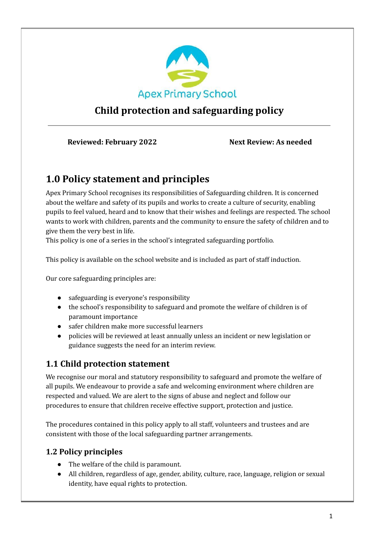

## **Child protection and safeguarding policy**

**Reviewed: February 2022 Next Review: As needed**

## **1.0 Policy statement and principles**

Apex Primary School recognises its responsibilities of Safeguarding children. It is concerned about the welfare and safety of its pupils and works to create a culture of security, enabling pupils to feel valued, heard and to know that their wishes and feelings are respected. The school wants to work with children, parents and the community to ensure the safety of children and to give them the very best in life.

This policy is one of a series in the school's integrated safeguarding portfolio*.*

This policy is available on the school website and is included as part of staff induction.

Our core safeguarding principles are:

- safeguarding is everyone's responsibility
- the school's responsibility to safeguard and promote the welfare of children is of paramount importance
- safer children make more successful learners
- policies will be reviewed at least annually unless an incident or new legislation or guidance suggests the need for an interim review.

### **1.1 Child protection statement**

We recognise our moral and statutory responsibility to safeguard and promote the welfare of all pupils. We endeavour to provide a safe and welcoming environment where children are respected and valued. We are alert to the signs of abuse and neglect and follow our procedures to ensure that children receive effective support, protection and justice.

The procedures contained in this policy apply to all staff, volunteers and trustees and are consistent with those of the local safeguarding partner arrangements.

#### **1.2 Policy principles**

- The welfare of the child is paramount.
- All children, regardless of age, gender, ability, culture, race, language, religion or sexual identity, have equal rights to protection.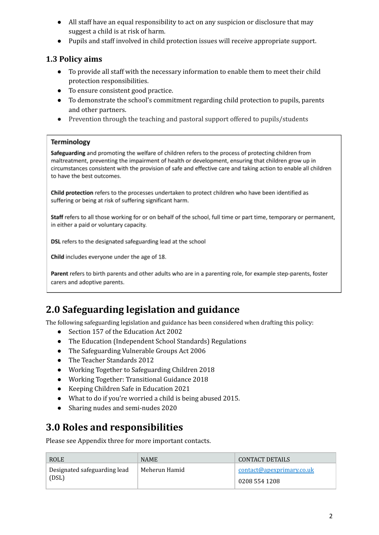- All staff have an equal responsibility to act on any suspicion or disclosure that may suggest a child is at risk of harm.
- Pupils and staff involved in child protection issues will receive appropriate support.

#### **1.3 Policy aims**

- To provide all staff with the necessary information to enable them to meet their child protection responsibilities.
- To ensure consistent good practice.
- To demonstrate the school's commitment regarding child protection to pupils, parents and other partners.
- Prevention through the teaching and pastoral support offered to pupils/students

#### **Terminology**

Safeguarding and promoting the welfare of children refers to the process of protecting children from maltreatment, preventing the impairment of health or development, ensuring that children grow up in circumstances consistent with the provision of safe and effective care and taking action to enable all children to have the best outcomes.

Child protection refers to the processes undertaken to protect children who have been identified as suffering or being at risk of suffering significant harm.

Staff refers to all those working for or on behalf of the school, full time or part time, temporary or permanent, in either a paid or voluntary capacity.

DSL refers to the designated safeguarding lead at the school

Child includes everyone under the age of 18.

Parent refers to birth parents and other adults who are in a parenting role, for example step-parents, foster carers and adoptive parents.

## **2.0 Safeguarding legislation and guidance**

The following safeguarding legislation and guidance has been considered when drafting this policy:

- Section 157 of the Education Act 2002
- The Education (Independent School Standards) Regulations
- The Safeguarding Vulnerable Groups Act 2006
- The Teacher Standards 2012
- Working Together to Safeguarding Children 2018
- Working Together: Transitional Guidance 2018
- Keeping Children Safe in Education 2021
- What to do if you're worried a child is being abused 2015.
- Sharing nudes and semi-nudes 2020

### **3.0 Roles and responsibilities**

Please see Appendix three for more important contacts.

| <b>ROLE</b>                           | <b>NAME</b>   | <b>CONTACT DETAILS</b>                     |
|---------------------------------------|---------------|--------------------------------------------|
| Designated safeguarding lead<br>(DSL) | Meherun Hamid | contact@apexprimary.co.uk<br>0208 554 1208 |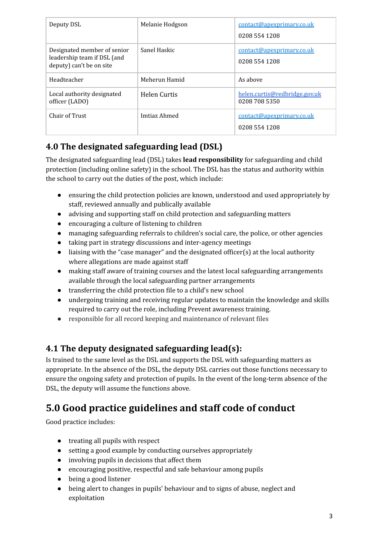| Deputy DSL                                              | Melanie Hodgson | contact@apexprimary.co.uk                      |
|---------------------------------------------------------|-----------------|------------------------------------------------|
|                                                         |                 | 0208 554 1208                                  |
| Designated member of senior                             | Sanel Haskic    | contact@apexprimary.co.uk                      |
| leadership team if DSL (and<br>deputy) can't be on site |                 | 0208 554 1208                                  |
| Headteacher                                             | Meherun Hamid   | As above                                       |
| Local authority designated<br>officer (LADO)            | Helen Curtis    | helen.curtis@redbridge.gov.uk<br>0208 708 5350 |
| Chair of Trust                                          | Imtiaz Ahmed    | contact@apexprimary.co.uk                      |
|                                                         |                 | 0208 554 1208                                  |

### **4.0 The designated safeguarding lead (DSL)**

The designated safeguarding lead (DSL) takes **lead responsibility** for safeguarding and child protection (including online safety) in the school. The DSL has the status and authority within the school to carry out the duties of the post, which include:

- ensuring the child protection policies are known, understood and used appropriately by staff, reviewed annually and publically available
- advising and supporting staff on child protection and safeguarding matters
- encouraging a culture of listening to children
- managing safeguarding referrals to children's social care, the police, or other agencies
- taking part in strategy discussions and inter-agency meetings
- $\bullet$  liaising with the "case manager" and the designated officer(s) at the local authority where allegations are made against staff
- making staff aware of training courses and the latest local safeguarding arrangements available through the local safeguarding partner arrangements
- transferring the child protection file to a child's new school
- undergoing training and receiving regular updates to maintain the knowledge and skills required to carry out the role, including Prevent awareness training.
- responsible for all record keeping and maintenance of relevant files

### **4.1 The deputy designated safeguarding lead(s):**

Is trained to the same level as the DSL and supports the DSL with safeguarding matters as appropriate. In the absence of the DSL, the deputy DSL carries out those functions necessary to ensure the ongoing safety and protection of pupils. In the event of the long-term absence of the DSL, the deputy will assume the functions above.

# **5.0 Good practice guidelines and staff code of conduct**

Good practice includes:

- treating all pupils with respect
- setting a good example by conducting ourselves appropriately
- involving pupils in decisions that affect them
- encouraging positive, respectful and safe behaviour among pupils
- being a good listener
- being alert to changes in pupils' behaviour and to signs of abuse, neglect and exploitation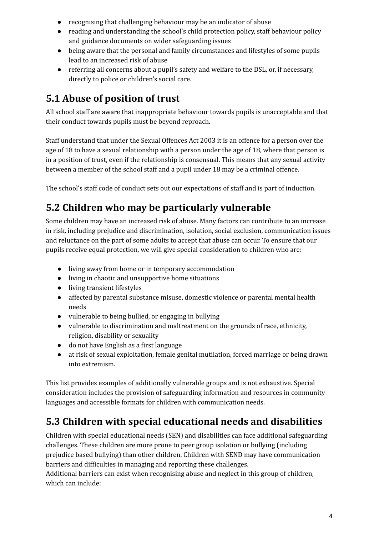- recognising that challenging behaviour may be an indicator of abuse
- reading and understanding the school's child protection policy, staff behaviour policy and guidance documents on wider safeguarding issues
- being aware that the personal and family circumstances and lifestyles of some pupils lead to an increased risk of abuse
- referring all concerns about a pupil's safety and welfare to the DSL, or, if necessary, directly to police or children's social care.

# **5.1 Abuse of position of trust**

All school staff are aware that inappropriate behaviour towards pupils is unacceptable and that their conduct towards pupils must be beyond reproach.

Staff understand that under the Sexual Offences Act 2003 it is an offence for a person over the age of 18 to have a sexual relationship with a person under the age of 18, where that person is in a position of trust, even if the relationship is consensual. This means that any sexual activity between a member of the school staff and a pupil under 18 may be a criminal offence.

The school's staff code of conduct sets out our expectations of staff and is part of induction.

# **5.2 Children who may be particularly vulnerable**

Some children may have an increased risk of abuse. Many factors can contribute to an increase in risk, including prejudice and discrimination, isolation, social exclusion, communication issues and reluctance on the part of some adults to accept that abuse can occur. To ensure that our pupils receive equal protection, we will give special consideration to children who are:

- living away from home or in temporary accommodation
- living in chaotic and unsupportive home situations
- living transient lifestyles
- affected by parental substance misuse, domestic violence or parental mental health needs
- vulnerable to being bullied, or engaging in bullying
- vulnerable to discrimination and maltreatment on the grounds of race, ethnicity, religion, disability or sexuality
- do not have English as a first language
- at risk of sexual exploitation, female genital mutilation, forced marriage or being drawn into extremism.

This list provides examples of additionally vulnerable groups and is not exhaustive. Special consideration includes the provision of safeguarding information and resources in community languages and accessible formats for children with communication needs.

# **5.3 Children with special educational needs and disabilities**

Children with special educational needs (SEN) and disabilities can face additional safeguarding challenges. These children are more prone to peer group isolation or bullying (including prejudice based bullying) than other children. Children with SEND may have communication barriers and difficulties in managing and reporting these challenges.

Additional barriers can exist when recognising abuse and neglect in this group of children, which can include: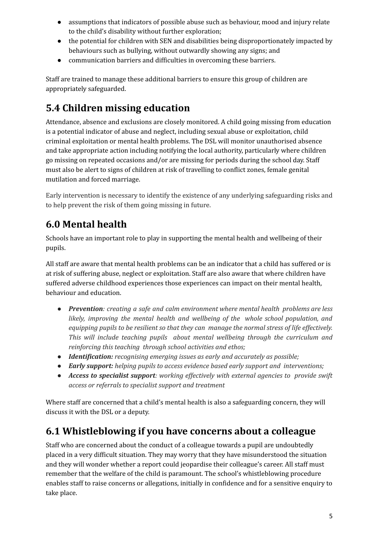- assumptions that indicators of possible abuse such as behaviour, mood and injury relate to the child's disability without further exploration;
- the potential for children with SEN and disabilities being disproportionately impacted by behaviours such as bullying, without outwardly showing any signs; and
- communication barriers and difficulties in overcoming these barriers.

Staff are trained to manage these additional barriers to ensure this group of children are appropriately safeguarded.

# **5.4 Children missing education**

Attendance, absence and exclusions are closely monitored. A child going missing from education is a potential indicator of abuse and neglect, including sexual abuse or exploitation, child criminal exploitation or mental health problems. The DSL will monitor unauthorised absence and take appropriate action including notifying the local authority, particularly where children go missing on repeated occasions and/or are missing for periods during the school day. Staff must also be alert to signs of children at risk of travelling to conflict zones, female genital mutilation and forced marriage.

Early intervention is necessary to identify the existence of any underlying safeguarding risks and to help prevent the risk of them going missing in future.

# **6.0 Mental health**

Schools have an important role to play in supporting the mental health and wellbeing of their pupils.

All staff are aware that mental health problems can be an indicator that a child has suffered or is at risk of suffering abuse, neglect or exploitation. Staff are also aware that where children have suffered adverse childhood experiences those experiences can impact on their mental health, behaviour and education.

- *Prevention: creating a safe and calm environment where mental health problems are less likely, improving the mental health and wellbeing of the whole school population, and equipping pupils to be resilient so that they can manage the normal stress of life ef ectively. This will include teaching pupils about mental wellbeing through the curriculum and reinforcing this teaching through school activities and ethos;*
- *Identification: recognising emerging issues as early and accurately as possible;*
- *Early support: helping pupils to access evidence based early support and interventions;*
- *Access to specialist support: working ef ectively with external agencies to provide swift access or referrals to specialist support and treatment*

Where staff are concerned that a child's mental health is also a safeguarding concern, they will discuss it with the DSL or a deputy.

## **6.1 Whistleblowing if you have concerns about a colleague**

Staff who are concerned about the conduct of a colleague towards a pupil are undoubtedly placed in a very difficult situation. They may worry that they have misunderstood the situation and they will wonder whether a report could jeopardise their colleague's career. All staff must remember that the welfare of the child is paramount. The school's whistleblowing procedure enables staff to raise concerns or allegations, initially in confidence and for a sensitive enquiry to take place.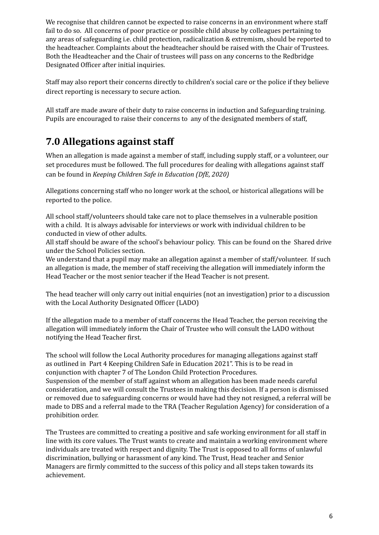We recognise that children cannot be expected to raise concerns in an environment where staff fail to do so. All concerns of poor practice or possible child abuse by colleagues pertaining to any areas of safeguarding i.e. child protection, radicalization & extremism, should be reported to the headteacher. Complaints about the headteacher should be raised with the Chair of Trustees. Both the Headteacher and the Chair of trustees will pass on any concerns to the Redbridge Designated Officer after initial inquiries.

Staff may also report their concerns directly to children's social care or the police if they believe direct reporting is necessary to secure action.

All staff are made aware of their duty to raise concerns in induction and Safeguarding training. Pupils are encouraged to raise their concerns to any of the designated members of staff,

# **7.0 Allegations against staff**

When an allegation is made against a member of staff, including supply staff, or a volunteer, our set procedures must be followed. The full procedures for dealing with allegations against staff can be found in *Keeping Children Safe in Education (DfE, 2020)*

Allegations concerning staff who no longer work at the school, or historical allegations will be reported to the police.

All school staff/volunteers should take care not to place themselves in a vulnerable position with a child. It is always advisable for interviews or work with individual children to be conducted in view of other adults.

All staff should be aware of the school's behaviour policy. This can be found on the Shared drive under the School Policies section.

We understand that a pupil may make an allegation against a member of staff/volunteer. If such an allegation is made, the member of staff receiving the allegation will immediately inform the Head Teacher or the most senior teacher if the Head Teacher is not present.

The head teacher will only carry out initial enquiries (not an investigation) prior to a discussion with the Local Authority Designated Officer (LADO)

If the allegation made to a member of staff concerns the Head Teacher, the person receiving the allegation will immediately inform the Chair of Trustee who will consult the LADO without notifying the Head Teacher first.

The school will follow the Local Authority procedures for managing allegations against staff as outlined in Part 4 Keeping Children Safe in Education 2021". This is to be read in conjunction with chapter 7 of The London Child Protection Procedures.

Suspension of the member of staff against whom an allegation has been made needs careful consideration, and we will consult the Trustees in making this decision. If a person is dismissed or removed due to safeguarding concerns or would have had they not resigned, a referral will be made to DBS and a referral made to the TRA (Teacher Regulation Agency) for consideration of a prohibition order.

The Trustees are committed to creating a positive and safe working environment for all staff in line with its core values. The Trust wants to create and maintain a working environment where individuals are treated with respect and dignity. The Trust is opposed to all forms of unlawful discrimination, bullying or harassment of any kind. The Trust, Head teacher and Senior Managers are firmly committed to the success of this policy and all steps taken towards its achievement.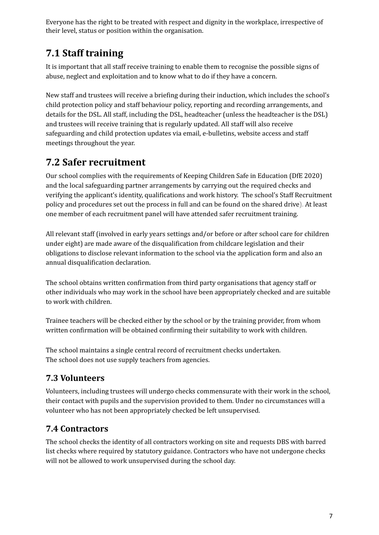Everyone has the right to be treated with respect and dignity in the workplace, irrespective of their level, status or position within the organisation.

# **7.1 Staff training**

It is important that all staff receive training to enable them to recognise the possible signs of abuse, neglect and exploitation and to know what to do if they have a concern.

New staff and trustees will receive a briefing during their induction, which includes the school's child protection policy and staff behaviour policy, reporting and recording arrangements, and details for the DSL. All staff, including the DSL, headteacher (unless the headteacher is the DSL) and trustees will receive training that is regularly updated. All staff will also receive safeguarding and child protection updates via email, e-bulletins, website access and staff meetings throughout the year.

# **7.2 Safer recruitment**

Our school complies with the requirements of Keeping Children Safe in Education (DfE 2020) and the local safeguarding partner arrangements by carrying out the required checks and verifying the applicant's identity, qualifications and work history. The school's Staff Recruitment policy and procedures set out the process in full and can be found on the shared drive). At least one member of each recruitment panel will have attended safer recruitment training.

All relevant staff (involved in early years settings and/or before or after school care for children under eight) are made aware of the disqualification from childcare legislation and their obligations to disclose relevant information to the school via the application form and also an annual disqualification declaration.

The school obtains written confirmation from third party organisations that agency staff or other individuals who may work in the school have been appropriately checked and are suitable to work with children.

Trainee teachers will be checked either by the school or by the training provider, from whom written confirmation will be obtained confirming their suitability to work with children.

The school maintains a single central record of recruitment checks undertaken. The school does not use supply teachers from agencies.

### **7.3 Volunteers**

Volunteers, including trustees will undergo checks commensurate with their work in the school, their contact with pupils and the supervision provided to them. Under no circumstances will a volunteer who has not been appropriately checked be left unsupervised.

### **7.4 Contractors**

The school checks the identity of all contractors working on site and requests DBS with barred list checks where required by statutory guidance. Contractors who have not undergone checks will not be allowed to work unsupervised during the school day.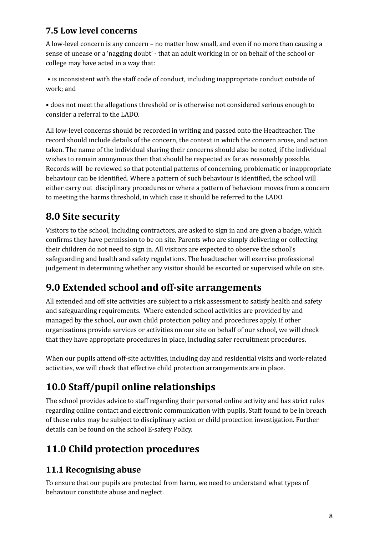### **7.5 Low level concerns**

A low-level concern is any concern – no matter how small, and even if no more than causing a sense of unease or a 'nagging doubt' - that an adult working in or on behalf of the school or college may have acted in a way that:

• is inconsistent with the staff code of conduct, including inappropriate conduct outside of work; and

• does not meet the allegations threshold or is otherwise not considered serious enough to consider a referral to the LADO.

All low-level concerns should be recorded in writing and passed onto the Headteacher. The record should include details of the concern, the context in which the concern arose, and action taken. The name of the individual sharing their concerns should also be noted, if the individual wishes to remain anonymous then that should be respected as far as reasonably possible. Records will be reviewed so that potential patterns of concerning, problematic or inappropriate behaviour can be identified. Where a pattern of such behaviour is identified, the school will either carry out disciplinary procedures or where a pattern of behaviour moves from a concern to meeting the harms threshold, in which case it should be referred to the LADO.

## **8.0 Site security**

Visitors to the school, including contractors, are asked to sign in and are given a badge, which confirms they have permission to be on site. Parents who are simply delivering or collecting their children do not need to sign in. All visitors are expected to observe the school's safeguarding and health and safety regulations. The headteacher will exercise professional judgement in determining whether any visitor should be escorted or supervised while on site.

## **9.0 Extended school and off-site arrangements**

All extended and off site activities are subject to a risk assessment to satisfy health and safety and safeguarding requirements. Where extended school activities are provided by and managed by the school, our own child protection policy and procedures apply. If other organisations provide services or activities on our site on behalf of our school, we will check that they have appropriate procedures in place, including safer recruitment procedures.

When our pupils attend off-site activities, including day and residential visits and work-related activities, we will check that effective child protection arrangements are in place.

# **10.0 Staff/pupil online relationships**

The school provides advice to staff regarding their personal online activity and has strict rules regarding online contact and electronic communication with pupils. Staff found to be in breach of these rules may be subject to disciplinary action or child protection investigation. Further details can be found on the school E-safety Policy.

## **11.0 Child protection procedures**

### **11.1 Recognising abuse**

To ensure that our pupils are protected from harm, we need to understand what types of behaviour constitute abuse and neglect.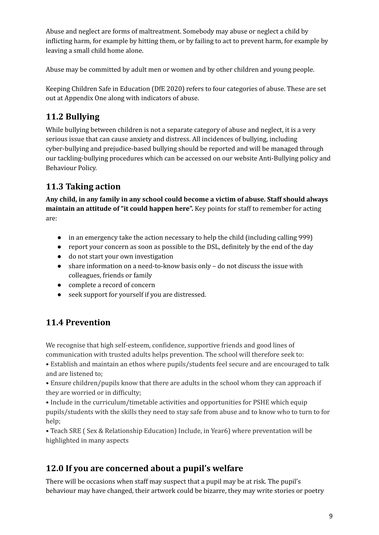Abuse and neglect are forms of maltreatment. Somebody may abuse or neglect a child by inflicting harm, for example by hitting them, or by failing to act to prevent harm, for example by leaving a small child home alone.

Abuse may be committed by adult men or women and by other children and young people.

Keeping Children Safe in Education (DfE 2020) refers to four categories of abuse. These are set out at Appendix One along with indicators of abuse.

### **11.2 Bullying**

While bullying between children is not a separate category of abuse and neglect, it is a very serious issue that can cause anxiety and distress. All incidences of bullying, including cyber-bullying and prejudice-based bullying should be reported and will be managed through our tackling-bullying procedures which can be accessed on our website Anti-Bullying policy and Behaviour Policy.

### **11.3 Taking action**

**Any child, in any family in any school could become a victim of abuse. Staff should always maintain an attitude of "it could happen here".** Key points for staff to remember for acting are:

- in an emergency take the action necessary to help the child (including calling 999)
- report your concern as soon as possible to the DSL, definitely by the end of the day
- do not start your own investigation
- share information on a need-to-know basis only do not discuss the issue with colleagues, friends or family
- complete a record of concern
- seek support for yourself if you are distressed.

### **11.4 Prevention**

We recognise that high self-esteem, confidence, supportive friends and good lines of communication with trusted adults helps prevention. The school will therefore seek to:

• Establish and maintain an ethos where pupils/students feel secure and are encouraged to talk and are listened to;

• Ensure children/pupils know that there are adults in the school whom they can approach if they are worried or in difficulty;

• Include in the curriculum/timetable activities and opportunities for PSHE which equip pupils/students with the skills they need to stay safe from abuse and to know who to turn to for help;

• Teach SRE ( Sex & Relationship Education) Include, in Year6) where preventation will be highlighted in many aspects

### **12.0 If you are concerned about a pupil's welfare**

There will be occasions when staff may suspect that a pupil may be at risk. The pupil's behaviour may have changed, their artwork could be bizarre, they may write stories or poetry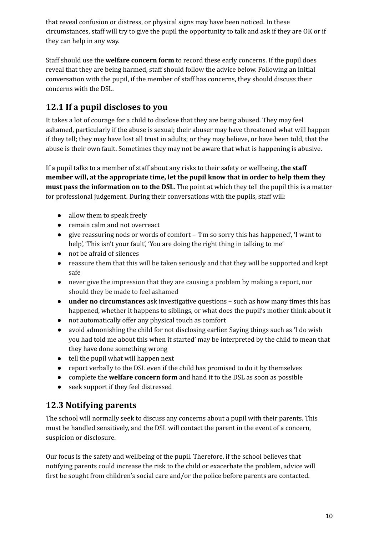that reveal confusion or distress, or physical signs may have been noticed. In these circumstances, staff will try to give the pupil the opportunity to talk and ask if they are OK or if they can help in any way.

Staff should use the **welfare concern form** to record these early concerns. If the pupil does reveal that they are being harmed, staff should follow the advice below. Following an initial conversation with the pupil, if the member of staff has concerns, they should discuss their concerns with the DSL.

### **12.1 If a pupil discloses to you**

It takes a lot of courage for a child to disclose that they are being abused. They may feel ashamed, particularly if the abuse is sexual; their abuser may have threatened what will happen if they tell; they may have lost all trust in adults; or they may believe, or have been told, that the abuse is their own fault. Sometimes they may not be aware that what is happening is abusive.

If a pupil talks to a member of staff about any risks to their safety or wellbeing, **the staff member will, at the appropriate time, let the pupil know that in order to help them they must pass the information on to the DSL**. The point at which they tell the pupil this is a matter for professional judgement. During their conversations with the pupils, staff will:

- allow them to speak freely
- remain calm and not overreact
- give reassuring nods or words of comfort 'I'm so sorry this has happened', 'I want to help', 'This isn't your fault', 'You are doing the right thing in talking to me'
- not be afraid of silences
- reassure them that this will be taken seriously and that they will be supported and kept safe
- never give the impression that they are causing a problem by making a report, nor should they be made to feel ashamed
- **under no circumstances** ask investigative questions such as how many times this has happened, whether it happens to siblings, or what does the pupil's mother think about it
- not automatically offer any physical touch as comfort
- avoid admonishing the child for not disclosing earlier. Saying things such as 'I do wish you had told me about this when it started' may be interpreted by the child to mean that they have done something wrong
- tell the pupil what will happen next
- report verbally to the DSL even if the child has promised to do it by themselves
- complete the **welfare concern form** and hand it to the DSL as soon as possible
- seek support if they feel distressed

### **12.3 Notifying parents**

The school will normally seek to discuss any concerns about a pupil with their parents. This must be handled sensitively, and the DSL will contact the parent in the event of a concern, suspicion or disclosure.

Our focus is the safety and wellbeing of the pupil. Therefore, if the school believes that notifying parents could increase the risk to the child or exacerbate the problem, advice will first be sought from children's social care and/or the police before parents are contacted.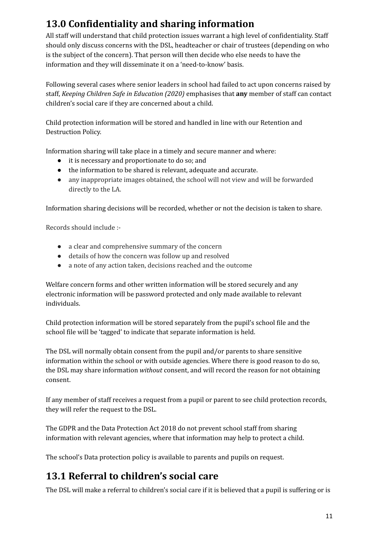# **13.0 Confidentiality and sharing information**

All staff will understand that child protection issues warrant a high level of confidentiality. Staff should only discuss concerns with the DSL, headteacher or chair of trustees (depending on who is the subject of the concern). That person will then decide who else needs to have the information and they will disseminate it on a 'need-to-know' basis.

Following several cases where senior leaders in school had failed to act upon concerns raised by staff, *Keeping Children Safe in Education (2020)* emphasises that **any** member of staff can contact children's social care if they are concerned about a child.

Child protection information will be stored and handled in line with our Retention and Destruction Policy.

Information sharing will take place in a timely and secure manner and where:

- it is necessary and proportionate to do so; and
- the information to be shared is relevant, adequate and accurate.
- any inappropriate images obtained, the school will not view and will be forwarded directly to the LA.

Information sharing decisions will be recorded, whether or not the decision is taken to share.

Records should include :-

- a clear and comprehensive summary of the concern
- details of how the concern was follow up and resolved
- a note of any action taken, decisions reached and the outcome

Welfare concern forms and other written information will be stored securely and any electronic information will be password protected and only made available to relevant individuals.

Child protection information will be stored separately from the pupil's school file and the school file will be 'tagged' to indicate that separate information is held.

The DSL will normally obtain consent from the pupil and/or parents to share sensitive information within the school or with outside agencies. Where there is good reason to do so, the DSL may share information *without* consent, and will record the reason for not obtaining consent.

If any member of staff receives a request from a pupil or parent to see child protection records, they will refer the request to the DSL.

The GDPR and the Data Protection Act 2018 do not prevent school staff from sharing information with relevant agencies, where that information may help to protect a child.

The school's Data protection policy is available to parents and pupils on request.

## **13.1 Referral to children's social care**

The DSL will make a referral to children's social care if it is believed that a pupil is suffering or is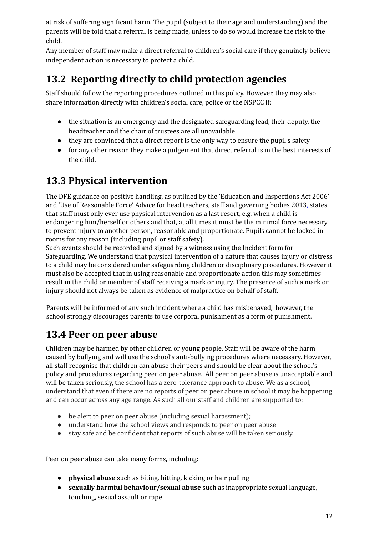at risk of suffering significant harm. The pupil (subject to their age and understanding) and the parents will be told that a referral is being made, unless to do so would increase the risk to the child.

Any member of staff may make a direct referral to children's social care if they genuinely believe independent action is necessary to protect a child.

# **13.2 Reporting directly to child protection agencies**

Staff should follow the reporting procedures outlined in this policy. However, they may also share information directly with children's social care, police or the NSPCC if:

- the situation is an emergency and the designated safeguarding lead, their deputy, the headteacher and the chair of trustees are all unavailable
- they are convinced that a direct report is the only way to ensure the pupil's safety
- for any other reason they make a judgement that direct referral is in the best interests of the child.

# **13.3 Physical intervention**

The DFE guidance on positive handling, as outlined by the 'Education and Inspections Act 2006' and 'Use of Reasonable Force' Advice for head teachers, staff and governing bodies 2013, states that staff must only ever use physical intervention as a last resort, e.g. when a child is endangering him/herself or others and that, at all times it must be the minimal force necessary to prevent injury to another person, reasonable and proportionate. Pupils cannot be locked in rooms for any reason (including pupil or staff safety).

Such events should be recorded and signed by a witness using the Incident form for Safeguarding. We understand that physical intervention of a nature that causes injury or distress to a child may be considered under safeguarding children or disciplinary procedures. However it must also be accepted that in using reasonable and proportionate action this may sometimes result in the child or member of staff receiving a mark or injury. The presence of such a mark or injury should not always be taken as evidence of malpractice on behalf of staff.

Parents will be informed of any such incident where a child has misbehaved, however, the school strongly discourages parents to use corporal punishment as a form of punishment.

# **13.4 Peer on peer abuse**

Children may be harmed by other children or young people. Staff will be aware of the harm caused by bullying and will use the school's anti-bullying procedures where necessary. However, all staff recognise that children can abuse their peers and should be clear about the school's policy and procedures regarding peer on peer abuse. All peer on peer abuse is unacceptable and will be taken seriously, the school has a zero-tolerance approach to abuse. We as a school, understand that even if there are no reports of peer on peer abuse in school it may be happening and can occur across any age range. As such all our staff and children are supported to:

- be alert to peer on peer abuse (including sexual harassment);
- understand how the school views and responds to peer on peer abuse
- stay safe and be confident that reports of such abuse will be taken seriously.

Peer on peer abuse can take many forms, including:

- **physical abuse** such as biting, hitting, kicking or hair pulling
- **sexually harmful behaviour/sexual abuse** such as inappropriate sexual language, touching, sexual assault or rape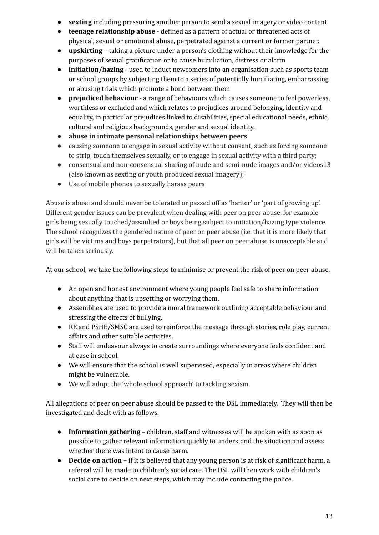- **sexting** including pressuring another person to send a sexual imagery or video content
- **teenage relationship abuse** defined as a pattern of actual or threatened acts of physical, sexual or emotional abuse, perpetrated against a current or former partner.
- **upskirting** taking a picture under a person's clothing without their knowledge for the purposes of sexual gratification or to cause humiliation, distress or alarm
- **initiation/hazing** used to induct newcomers into an organisation such as sports team or school groups by subjecting them to a series of potentially humiliating, embarrassing or abusing trials which promote a bond between them
- **prejudiced behaviour** a range of behaviours which causes someone to feel powerless, worthless or excluded and which relates to prejudices around belonging, identity and equality, in particular prejudices linked to disabilities, special educational needs, ethnic, cultural and religious backgrounds, gender and sexual identity.
- **● abuse in intimate personal relationships between peers**
- causing someone to engage in sexual activity without consent, such as forcing someone to strip, touch themselves sexually, or to engage in sexual activity with a third party;
- consensual and non-consensual sharing of nude and semi-nude images and/or videos13 (also known as sexting or youth produced sexual imagery);
- Use of mobile phones to sexually harass peers

Abuse is abuse and should never be tolerated or passed off as 'banter' or 'part of growing up'. Different gender issues can be prevalent when dealing with peer on peer abuse, for example girls being sexually touched/assaulted or boys being subject to initiation/hazing type violence. The school recognizes the gendered nature of peer on peer abuse (i.e. that it is more likely that girls will be victims and boys perpetrators), but that all peer on peer abuse is unacceptable and will be taken seriously.

At our school, we take the following steps to minimise or prevent the risk of peer on peer abuse.

- An open and honest environment where young people feel safe to share information about anything that is upsetting or worrying them.
- Assemblies are used to provide a moral framework outlining acceptable behaviour and stressing the effects of bullying.
- RE and PSHE/SMSC are used to reinforce the message through stories, role play, current affairs and other suitable activities.
- Staff will endeavour always to create surroundings where everyone feels confident and at ease in school.
- We will ensure that the school is well supervised, especially in areas where children might be vulnerable.
- We will adopt the 'whole school approach' to tackling sexism.

All allegations of peer on peer abuse should be passed to the DSL immediately. They will then be investigated and dealt with as follows.

- **Information gathering** children, staff and witnesses will be spoken with as soon as possible to gather relevant information quickly to understand the situation and assess whether there was intent to cause harm.
- **Decide on action** if it is believed that any young person is at risk of significant harm, a referral will be made to children's social care. The DSL will then work with children's social care to decide on next steps, which may include contacting the police.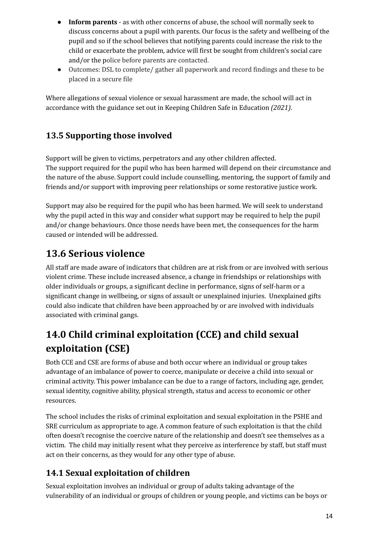- **Inform parents** as with other concerns of abuse, the school will normally seek to discuss concerns about a pupil with parents. Our focus is the safety and wellbeing of the pupil and so if the school believes that notifying parents could increase the risk to the child or exacerbate the problem, advice will first be sought from children's social care and/or the police before parents are contacted.
- Outcomes: DSL to complete/ gather all paperwork and record findings and these to be placed in a secure file

Where allegations of sexual violence or sexual harassment are made, the school will act in accordance with the guidance set out in Keeping Children Safe in Education *(2021)*.

### **13.5 Supporting those involved**

Support will be given to victims, perpetrators and any other children affected. The support required for the pupil who has been harmed will depend on their circumstance and the nature of the abuse. Support could include counselling, mentoring, the support of family and friends and/or support with improving peer relationships or some restorative justice work.

Support may also be required for the pupil who has been harmed. We will seek to understand why the pupil acted in this way and consider what support may be required to help the pupil and/or change behaviours. Once those needs have been met, the consequences for the harm caused or intended will be addressed.

### **13.6 Serious violence**

All staff are made aware of indicators that children are at risk from or are involved with serious violent crime. These include increased absence, a change in friendships or relationships with older individuals or groups, a significant decline in performance, signs of self-harm or a significant change in wellbeing, or signs of assault or unexplained injuries. Unexplained gifts could also indicate that children have been approached by or are involved with individuals associated with criminal gangs.

# **14.0 Child criminal exploitation (CCE) and child sexual exploitation (CSE)**

Both CCE and CSE are forms of abuse and both occur where an individual or group takes advantage of an imbalance of power to coerce, manipulate or deceive a child into sexual or criminal activity. This power imbalance can be due to a range of factors, including age, gender, sexual identity, cognitive ability, physical strength, status and access to economic or other resources.

The school includes the risks of criminal exploitation and sexual exploitation in the PSHE and SRE curriculum as appropriate to age. A common feature of such exploitation is that the child often doesn't recognise the coercive nature of the relationship and doesn't see themselves as a victim. The child may initially resent what they perceive as interference by staff, but staff must act on their concerns, as they would for any other type of abuse.

### **14.1 Sexual exploitation of children**

Sexual exploitation involves an individual or group of adults taking advantage of the vulnerability of an individual or groups of children or young people, and victims can be boys or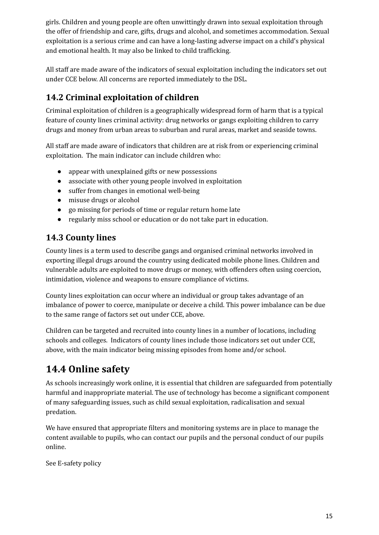girls. Children and young people are often unwittingly drawn into sexual exploitation through the offer of friendship and care, gifts, drugs and alcohol, and sometimes accommodation. Sexual exploitation is a serious crime and can have a long-lasting adverse impact on a child's physical and emotional health. It may also be linked to child trafficking.

All staff are made aware of the indicators of sexual exploitation including the indicators set out under CCE below. All concerns are reported immediately to the DSL.

### **14.2 Criminal exploitation of children**

Criminal exploitation of children is a geographically widespread form of harm that is a typical feature of county lines criminal activity: drug networks or gangs exploiting children to carry drugs and money from urban areas to suburban and rural areas, market and seaside towns.

All staff are made aware of indicators that children are at risk from or experiencing criminal exploitation. The main indicator can include children who:

- appear with unexplained gifts or new possessions
- associate with other young people involved in exploitation
- suffer from changes in emotional well-being
- misuse drugs or alcohol
- go missing for periods of time or regular return home late
- regularly miss school or education or do not take part in education.

#### **14.3 County lines**

County lines is a term used to describe gangs and organised criminal networks involved in exporting illegal drugs around the country using dedicated mobile phone lines. Children and vulnerable adults are exploited to move drugs or money, with offenders often using coercion, intimidation, violence and weapons to ensure compliance of victims.

County lines exploitation can occur where an individual or group takes advantage of an imbalance of power to coerce, manipulate or deceive a child. This power imbalance can be due to the same range of factors set out under CCE, above.

Children can be targeted and recruited into county lines in a number of locations, including schools and colleges. Indicators of county lines include those indicators set out under CCE, above, with the main indicator being missing episodes from home and/or school.

## **14.4 Online safety**

As schools increasingly work online, it is essential that children are safeguarded from potentially harmful and inappropriate material. The use of technology has become a significant component of many safeguarding issues, such as child sexual exploitation, radicalisation and sexual predation.

We have ensured that appropriate filters and monitoring systems are in place to manage the content available to pupils, who can contact our pupils and the personal conduct of our pupils online.

See E-safety policy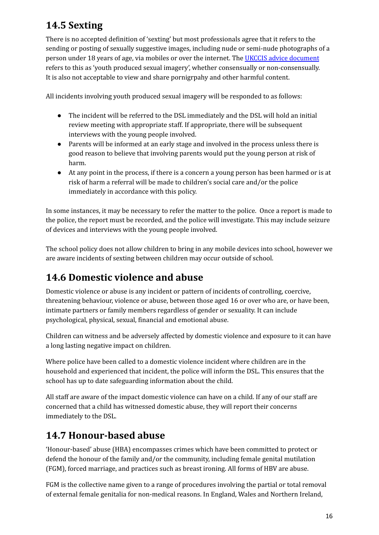# **14.5 Sexting**

There is no accepted definition of 'sexting' but most professionals agree that it refers to the sending or posting of sexually suggestive images, including nude or semi-nude photographs of a person under 18 years of age, via mobiles or over the internet. The UKCCIS advice [document](https://www.gov.uk/government/groups/uk-council-for-child-internet-safety-ukccis) refers to this as 'youth produced sexual imagery', whether consensually or non-consensually. It is also not acceptable to view and share pornigrpahy and other harmful content.

All incidents involving youth produced sexual imagery will be responded to as follows:

- The incident will be referred to the DSL immediately and the DSL will hold an initial review meeting with appropriate staff. If appropriate, there will be subsequent interviews with the young people involved.
- Parents will be informed at an early stage and involved in the process unless there is good reason to believe that involving parents would put the young person at risk of harm.
- At any point in the process, if there is a concern a young person has been harmed or is at risk of harm a referral will be made to children's social care and/or the police immediately in accordance with this policy.

In some instances, it may be necessary to refer the matter to the police. Once a report is made to the police, the report must be recorded, and the police will investigate. This may include seizure of devices and interviews with the young people involved.

The school policy does not allow children to bring in any mobile devices into school, however we are aware incidents of sexting between children may occur outside of school.

# **14.6 Domestic violence and abuse**

Domestic violence or abuse is any incident or pattern of incidents of controlling, coercive, threatening behaviour, violence or abuse, between those aged 16 or over who are, or have been, intimate partners or family members regardless of gender or sexuality. It can include psychological, physical, sexual, financial and emotional abuse.

Children can witness and be adversely affected by domestic violence and exposure to it can have a long lasting negative impact on children.

Where police have been called to a domestic violence incident where children are in the household and experienced that incident, the police will inform the DSL. This ensures that the school has up to date safeguarding information about the child.

All staff are aware of the impact domestic violence can have on a child. If any of our staff are concerned that a child has witnessed domestic abuse, they will report their concerns immediately to the DSL.

# **14.7 Honour-based abuse**

'Honour-based' abuse (HBA) encompasses crimes which have been committed to protect or defend the honour of the family and/or the community, including female genital mutilation (FGM), forced marriage, and practices such as breast ironing. All forms of HBV are abuse.

FGM is the collective name given to a range of procedures involving the partial or total removal of external female genitalia for non-medical reasons. In England, Wales and Northern Ireland,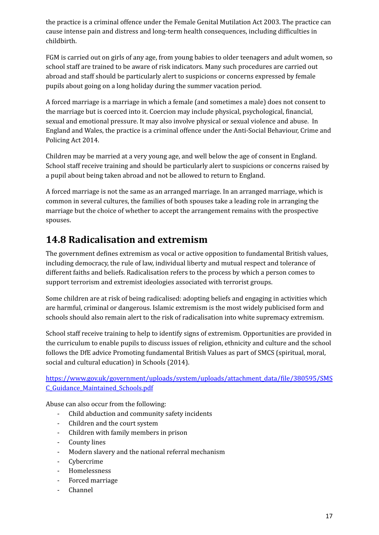the practice is a criminal offence under the Female Genital Mutilation Act 2003. The practice can cause intense pain and distress and long-term health consequences, including difficulties in childbirth.

FGM is carried out on girls of any age, from young babies to older teenagers and adult women, so school staff are trained to be aware of risk indicators. Many such procedures are carried out abroad and staff should be particularly alert to suspicions or concerns expressed by female pupils about going on a long holiday during the summer vacation period.

A forced marriage is a marriage in which a female (and sometimes a male) does not consent to the marriage but is coerced into it. Coercion may include physical, psychological, financial, sexual and emotional pressure. It may also involve physical or sexual violence and abuse. In England and Wales, the practice is a criminal offence under the Anti-Social Behaviour, Crime and Policing Act 2014.

Children may be married at a very young age, and well below the age of consent in England. School staff receive training and should be particularly alert to suspicions or concerns raised by a pupil about being taken abroad and not be allowed to return to England.

A forced marriage is not the same as an arranged marriage. In an arranged marriage, which is common in several cultures, the families of both spouses take a leading role in arranging the marriage but the choice of whether to accept the arrangement remains with the prospective spouses.

# **14.8 Radicalisation and extremism**

The government defines extremism as vocal or active opposition to fundamental British values, including democracy, the rule of law, individual liberty and mutual respect and tolerance of different faiths and beliefs. Radicalisation refers to the process by which a person comes to support terrorism and extremist ideologies associated with terrorist groups.

Some children are at risk of being radicalised: adopting beliefs and engaging in activities which are harmful, criminal or dangerous. Islamic extremism is the most widely publicised form and schools should also remain alert to the risk of radicalisation into white supremacy extremism.

School staff receive training to help to identify signs of extremism. Opportunities are provided in the curriculum to enable pupils to discuss issues of religion, ethnicity and culture and the school follows the DfE advice Promoting fundamental British Values as part of SMCS (spiritual, moral, social and cultural education) in Schools (2014).

[https://www.gov.uk/government/uploads/system/uploads/attachment\\_data/file/380595/SMS](https://www.gov.uk/government/uploads/system/uploads/attachment_data/file/380595/SMSC_Guidance_Maintained_Schools.pdf) [C\\_Guidance\\_Maintained\\_Schools.pdf](https://www.gov.uk/government/uploads/system/uploads/attachment_data/file/380595/SMSC_Guidance_Maintained_Schools.pdf)

Abuse can also occur from the following:

- Child abduction and community safety incidents
- Children and the court system
- Children with family members in prison
- County lines
- Modern slavery and the national referral mechanism
- Cybercrime
- Homelessness
- Forced marriage
- Channel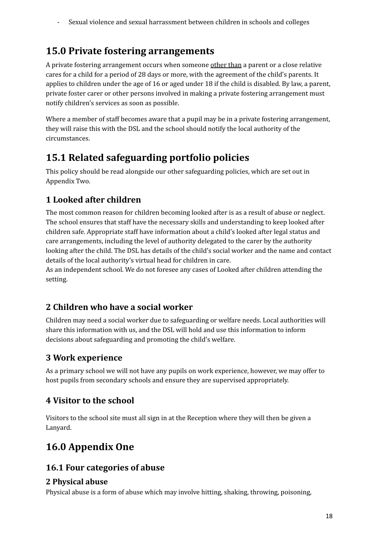- Sexual violence and sexual harrassment between children in schools and colleges

### **15.0 Private fostering arrangements**

A private fostering arrangement occurs when someone other than a parent or a close relative cares for a child for a period of 28 days or more, with the agreement of the child's parents. It applies to children under the age of 16 or aged under 18 if the child is disabled. By law, a parent, private foster carer or other persons involved in making a private fostering arrangement must notify children's services as soon as possible.

Where a member of staff becomes aware that a pupil may be in a private fostering arrangement, they will raise this with the DSL and the school should notify the local authority of the circumstances.

### **15.1 Related safeguarding portfolio policies**

This policy should be read alongside our other safeguarding policies, which are set out in Appendix Two.

### **1 Looked after children**

The most common reason for children becoming looked after is as a result of abuse or neglect. The school ensures that staff have the necessary skills and understanding to keep looked after children safe. Appropriate staff have information about a child's looked after legal status and care arrangements, including the level of authority delegated to the carer by the authority looking after the child. The DSL has details of the child's social worker and the name and contact details of the local authority's virtual head for children in care.

As an independent school. We do not foresee any cases of Looked after children attending the setting.

### **2 Children who have a social worker**

Children may need a social worker due to safeguarding or welfare needs. Local authorities will share this information with us, and the DSL will hold and use this information to inform decisions about safeguarding and promoting the child's welfare.

### **3 Work experience**

As a primary school we will not have any pupils on work experience, however, we may offer to host pupils from secondary schools and ensure they are supervised appropriately.

### **4 Visitor to the school**

Visitors to the school site must all sign in at the Reception where they will then be given a Lanyard.

## **16.0 Appendix One**

#### **16.1 Four categories of abuse**

#### **2 Physical abuse**

Physical abuse is a form of abuse which may involve hitting, shaking, throwing, poisoning,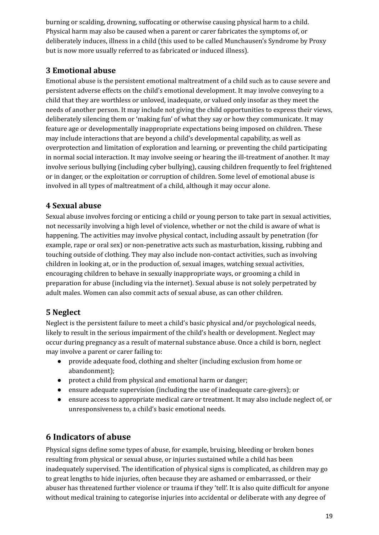burning or scalding, drowning, suffocating or otherwise causing physical harm to a child. Physical harm may also be caused when a parent or carer fabricates the symptoms of, or deliberately induces, illness in a child (this used to be called Munchausen's Syndrome by Proxy but is now more usually referred to as fabricated or induced illness).

#### **3 Emotional abuse**

Emotional abuse is the persistent emotional maltreatment of a child such as to cause severe and persistent adverse effects on the child's emotional development. It may involve conveying to a child that they are worthless or unloved, inadequate, or valued only insofar as they meet the needs of another person. It may include not giving the child opportunities to express their views, deliberately silencing them or 'making fun' of what they say or how they communicate. It may feature age or developmentally inappropriate expectations being imposed on children. These may include interactions that are beyond a child's developmental capability, as well as overprotection and limitation of exploration and learning, or preventing the child participating in normal social interaction. It may involve seeing or hearing the ill-treatment of another. It may involve serious bullying (including cyber bullying), causing children frequently to feel frightened or in danger, or the exploitation or corruption of children. Some level of emotional abuse is involved in all types of maltreatment of a child, although it may occur alone.

#### **4 Sexual abuse**

Sexual abuse involves forcing or enticing a child or young person to take part in sexual activities, not necessarily involving a high level of violence, whether or not the child is aware of what is happening. The activities may involve physical contact, including assault by penetration (for example, rape or oral sex) or non-penetrative acts such as masturbation, kissing, rubbing and touching outside of clothing. They may also include non-contact activities, such as involving children in looking at, or in the production of, sexual images, watching sexual activities, encouraging children to behave in sexually inappropriate ways, or grooming a child in preparation for abuse (including via the internet). Sexual abuse is not solely perpetrated by adult males. Women can also commit acts of sexual abuse, as can other children.

### **5 Neglect**

Neglect is the persistent failure to meet a child's basic physical and/or psychological needs, likely to result in the serious impairment of the child's health or development. Neglect may occur during pregnancy as a result of maternal substance abuse. Once a child is born, neglect may involve a parent or carer failing to:

- provide adequate food, clothing and shelter (including exclusion from home or abandonment);
- protect a child from physical and emotional harm or danger;
- ensure adequate supervision (including the use of inadequate care-givers); or
- ensure access to appropriate medical care or treatment. It may also include neglect of, or unresponsiveness to, a child's basic emotional needs.

### **6 Indicators of abuse**

Physical signs define some types of abuse, for example, bruising, bleeding or broken bones resulting from physical or sexual abuse, or injuries sustained while a child has been inadequately supervised. The identification of physical signs is complicated, as children may go to great lengths to hide injuries, often because they are ashamed or embarrassed, or their abuser has threatened further violence or trauma if they 'tell'. It is also quite difficult for anyone without medical training to categorise injuries into accidental or deliberate with any degree of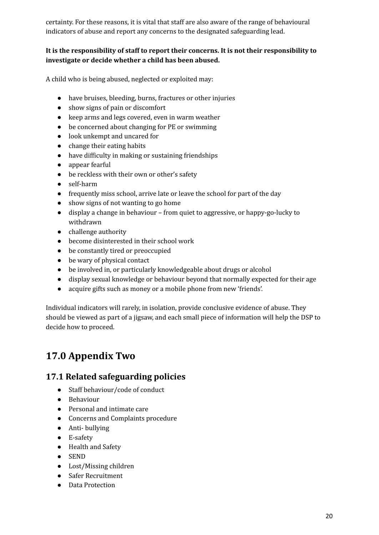certainty. For these reasons, it is vital that staff are also aware of the range of behavioural indicators of abuse and report any concerns to the designated safeguarding lead.

#### **It is the responsibility of staff to report their concerns. It is not their responsibility to investigate or decide whether a child has been abused.**

A child who is being abused, neglected or exploited may:

- have bruises, bleeding, burns, fractures or other injuries
- show signs of pain or discomfort
- keep arms and legs covered, even in warm weather
- be concerned about changing for PE or swimming
- look unkempt and uncared for
- change their eating habits
- have difficulty in making or sustaining friendships
- appear fearful
- be reckless with their own or other's safety
- self-harm
- frequently miss school, arrive late or leave the school for part of the day
- show signs of not wanting to go home
- display a change in behaviour from quiet to aggressive, or happy-go-lucky to withdrawn
- challenge authority
- become disinterested in their school work
- be constantly tired or preoccupied
- be wary of physical contact
- be involved in, or particularly knowledgeable about drugs or alcohol
- display sexual knowledge or behaviour beyond that normally expected for their age
- acquire gifts such as money or a mobile phone from new 'friends'.

Individual indicators will rarely, in isolation, provide conclusive evidence of abuse. They should be viewed as part of a jigsaw, and each small piece of information will help the DSP to decide how to proceed.

## **17.0 Appendix Two**

### **17.1 Related safeguarding policies**

- Staff behaviour/code of conduct
- Behaviour
- Personal and intimate care
- Concerns and Complaints procedure
- Anti- bullying
- E-safety
- Health and Safety
- SEND
- Lost/Missing children
- Safer Recruitment
- Data Protection